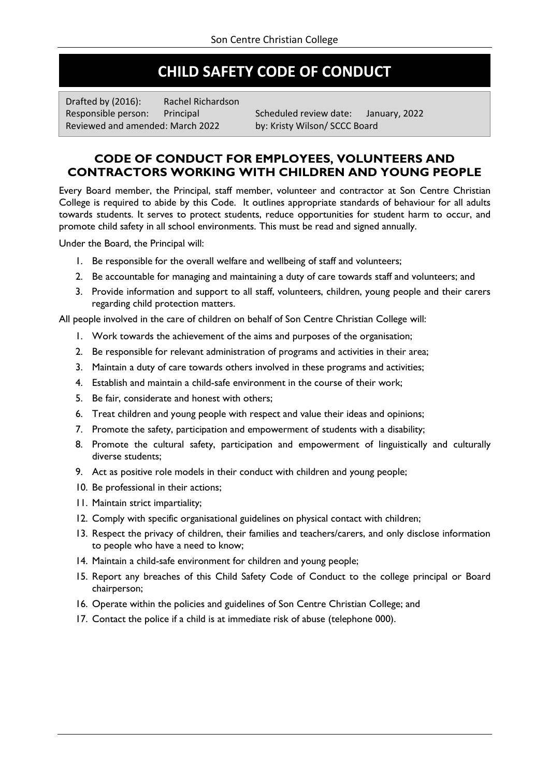# **CHILD SAFETY CODE OF CONDUCT**

Drafted by (2016): Rachel Richardson Reviewed and amended: March 2022 by: Kristy Wilson/ SCCC Board

Responsible person: Principal Scheduled review date: January, 2022

## **CODE OF CONDUCT FOR EMPLOYEES, VOLUNTEERS AND CONTRACTORS WORKING WITH CHILDREN AND YOUNG PEOPLE**

Every Board member, the Principal, staff member, volunteer and contractor at Son Centre Christian College is required to abide by this Code. It outlines appropriate standards of behaviour for all adults towards students. It serves to protect students, reduce opportunities for student harm to occur, and promote child safety in all school environments. This must be read and signed annually.

Under the Board, the Principal will:

- 1. Be responsible for the overall welfare and wellbeing of staff and volunteers;
- 2. Be accountable for managing and maintaining a duty of care towards staff and volunteers; and
- 3. Provide information and support to all staff, volunteers, children, young people and their carers regarding child protection matters.

All people involved in the care of children on behalf of Son Centre Christian College will:

- 1. Work towards the achievement of the aims and purposes of the organisation;
- 2. Be responsible for relevant administration of programs and activities in their area;
- 3. Maintain a duty of care towards others involved in these programs and activities;
- 4. Establish and maintain a child-safe environment in the course of their work;
- 5. Be fair, considerate and honest with others;
- 6. Treat children and young people with respect and value their ideas and opinions;
- 7. Promote the safety, participation and empowerment of students with a disability;
- 8. Promote the cultural safety, participation and empowerment of linguistically and culturally diverse students;
- 9. Act as positive role models in their conduct with children and young people;
- 10. Be professional in their actions;
- 11. Maintain strict impartiality;
- 12. Comply with specific organisational guidelines on physical contact with children;
- 13. Respect the privacy of children, their families and teachers/carers, and only disclose information to people who have a need to know;
- 14. Maintain a child-safe environment for children and young people;
- 15. Report any breaches of this Child Safety Code of Conduct to the college principal or Board chairperson;
- 16. Operate within the policies and guidelines of Son Centre Christian College; and
- 17. Contact the police if a child is at immediate risk of abuse (telephone 000).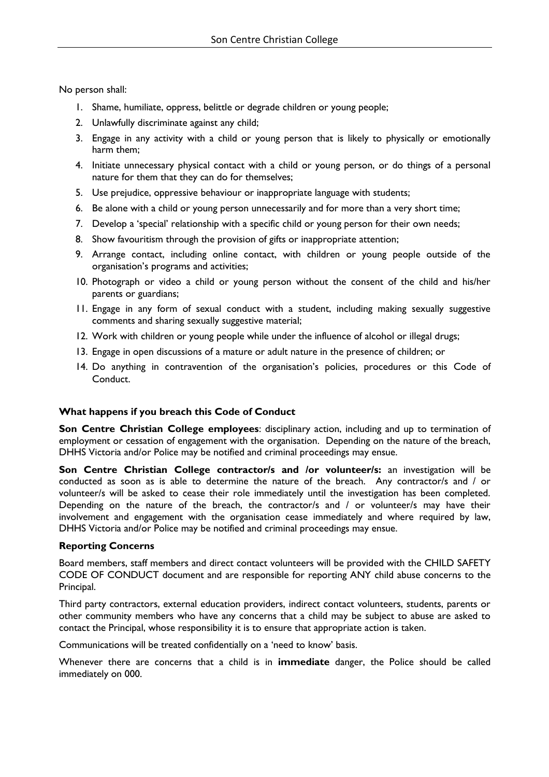No person shall:

- 1. Shame, humiliate, oppress, belittle or degrade children or young people;
- 2. Unlawfully discriminate against any child;
- 3. Engage in any activity with a child or young person that is likely to physically or emotionally harm them;
- 4. Initiate unnecessary physical contact with a child or young person, or do things of a personal nature for them that they can do for themselves;
- 5. Use prejudice, oppressive behaviour or inappropriate language with students;
- 6. Be alone with a child or young person unnecessarily and for more than a very short time;
- 7. Develop a 'special' relationship with a specific child or young person for their own needs;
- 8. Show favouritism through the provision of gifts or inappropriate attention;
- 9. Arrange contact, including online contact, with children or young people outside of the organisation's programs and activities;
- 10. Photograph or video a child or young person without the consent of the child and his/her parents or guardians;
- 11. Engage in any form of sexual conduct with a student, including making sexually suggestive comments and sharing sexually suggestive material;
- 12. Work with children or young people while under the influence of alcohol or illegal drugs;
- 13. Engage in open discussions of a mature or adult nature in the presence of children; or
- 14. Do anything in contravention of the organisation's policies, procedures or this Code of Conduct.

#### **What happens if you breach this Code of Conduct**

**Son Centre Christian College employees**: disciplinary action, including and up to termination of employment or cessation of engagement with the organisation. Depending on the nature of the breach, DHHS Victoria and/or Police may be notified and criminal proceedings may ensue.

Son Centre Christian College contractor/s and /or volunteer/s: an investigation will be conducted as soon as is able to determine the nature of the breach. Any contractor/s and / or volunteer/s will be asked to cease their role immediately until the investigation has been completed. Depending on the nature of the breach, the contractor/s and / or volunteer/s may have their involvement and engagement with the organisation cease immediately and where required by law, DHHS Victoria and/or Police may be notified and criminal proceedings may ensue.

#### **Reporting Concerns**

Board members, staff members and direct contact volunteers will be provided with the CHILD SAFETY CODE OF CONDUCT document and are responsible for reporting ANY child abuse concerns to the Principal.

Third party contractors, external education providers, indirect contact volunteers, students, parents or other community members who have any concerns that a child may be subject to abuse are asked to contact the Principal, whose responsibility it is to ensure that appropriate action is taken.

Communications will be treated confidentially on a 'need to know' basis.

Whenever there are concerns that a child is in **immediate** danger, the Police should be called immediately on 000.